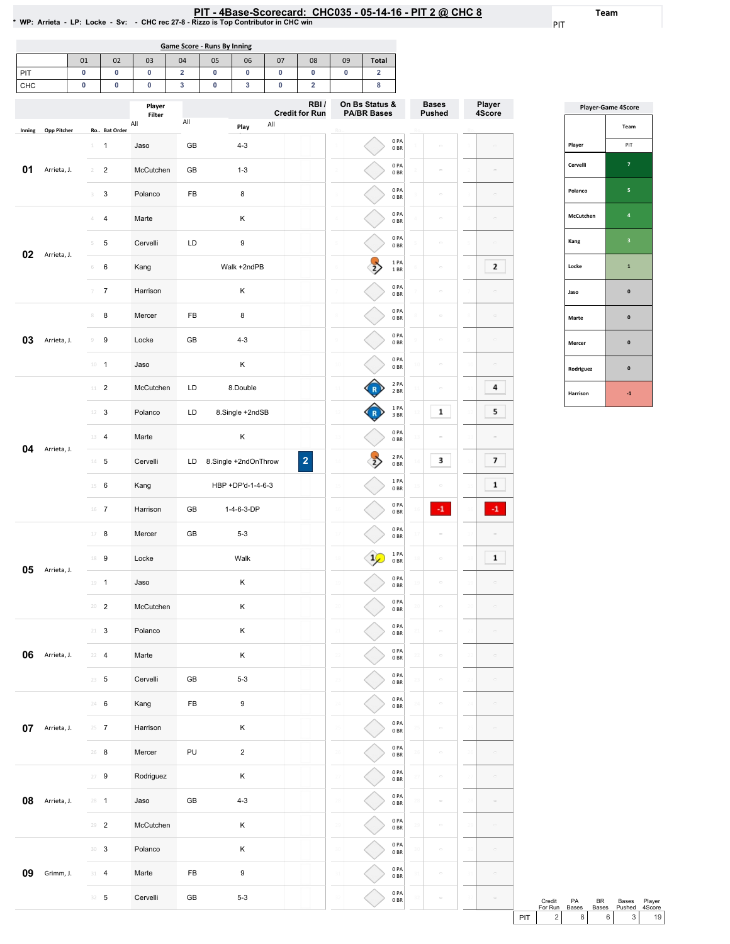31 32 0PA 0BR 0PA 0BR

31 32  $\sim$ 

 $\overline{\phantom{a}}$ 

31 32

PIT

Player 4Score

 $\mathbb{R}^d$ 

 $\overline{\mathbf{2}}$ 

 $\sim$ 

 $\sim$ 

 $\sim$ 

 $\overline{4}$ 

 $5<sub>1</sub>$ 

 $\boxed{7}$ 

 $\boxed{1}$  $\langle {\bf 4} \rangle$ 

 $\boxed{1}$ 

 $\mathcal{L}_{\mathcal{A}}$ 

 $\sim$  $\sim$  $\frac{1}{\sqrt{2}}$ 

 $\mathcal{L}_{\mathcal{L}}$ 

 $\sim$ 

 $\sim$  $\sim$ 

 $\sim$ 

|            |                    |                 |                              |                         |        | <b>Game Score - Runs By Inning</b> |                      |        |                               |                          |                                      |                          |                               |               |
|------------|--------------------|-----------------|------------------------------|-------------------------|--------|------------------------------------|----------------------|--------|-------------------------------|--------------------------|--------------------------------------|--------------------------|-------------------------------|---------------|
|            |                    | 01              | 02                           | 03                      | 04     | 05                                 | 06                   | 07     | 08                            | 09                       | Total                                |                          |                               |               |
| PIT<br>CHC |                    | 0<br>0          | 0<br>0                       | 0<br>0                  | 2<br>3 | 0<br>0                             | 0<br>3               | 0<br>0 | 0<br>$\overline{\mathbf{2}}$  | 0                        | $\overline{\mathbf{2}}$<br>8         |                          |                               |               |
|            |                    |                 |                              | Player<br>Filter<br>All | All    |                                    |                      | All    | RBI/<br><b>Credit for Run</b> |                          | On Bs Status &<br><b>PA/BR Bases</b> |                          | <b>Bases</b><br><b>Pushed</b> | Playe<br>4Sco |
| Inning     | <b>Opp Pitcher</b> | $1 -$           | Ro Bat Order<br>$\mathbf{1}$ | Jaso                    | GB     |                                    | Play<br>$4 - 3$      |        |                               |                          |                                      | 0PA<br>0 <sub>BR</sub>   |                               |               |
| 01         | Arrieta, J.        |                 | $\overline{2}$               | McCutchen               | GB     |                                    | $1 - 3$              |        |                               |                          |                                      | 0PA<br>0B                | $\equiv$                      |               |
|            |                    | 3               | 3                            | Polanco                 | FB     |                                    | 8                    |        |                               |                          |                                      | 0PA<br>0BR               | $\equiv$                      |               |
|            |                    | 4               | 4                            | Marte                   |        |                                    | Κ                    |        |                               |                          |                                      | 0PA<br>0B                |                               |               |
|            |                    |                 | 5                            | Cervelli                | LD     |                                    | 9                    |        |                               |                          |                                      | 0PA<br>0BR               | $\equiv$                      |               |
| 02         | Arrieta, J.        | 6               | 6                            | Kang                    |        |                                    | Walk +2ndPB          |        |                               |                          |                                      | 1 PA<br>$1\;\mathrm{BR}$ | ċ                             |               |
|            |                    | $7 -$           | $\overline{7}$               | Harrison                |        |                                    | Κ                    |        |                               |                          |                                      | 0PA<br>0 <sub>BR</sub>   | $\sim$                        |               |
|            |                    | 8               | 8                            | Mercer                  | FB     |                                    | 8                    |        |                               |                          |                                      | 0PA<br>0 <sub>BR</sub>   | $\equiv$                      |               |
| 03         | Arrieta, J.        | 9               | 9                            | Locke                   | GB     |                                    | $4 - 3$              |        |                               |                          |                                      | 0PA<br>0B                | C.                            |               |
|            |                    | $10 - 1$        |                              | Jaso                    |        |                                    | Κ                    |        |                               |                          |                                      | 0PA<br>0BR               | $\equiv$                      |               |
|            |                    |                 | $11 - 2$                     | McCutchen               | LD     |                                    | 8.Double             |        |                               |                          |                                      | 2PA<br>2 BR              |                               |               |
|            |                    | 12 <sup>2</sup> |                              | Polanco                 | LD     |                                    | 8.Single +2ndSB      |        |                               |                          |                                      | 1PA<br>3 BR              | 1                             |               |
| 04         | Arrieta, J.        |                 | 13 4                         | Marte                   |        |                                    | κ                    |        |                               |                          |                                      | 0PA<br>0 <sub>BR</sub>   | $\bar{c}$                     |               |
|            |                    |                 | $14 - 5$                     | Cervelli                | LD     |                                    | 8.Single +2ndOnThrow |        | $\overline{\mathbf{c}}$       |                          |                                      | 2 PA<br>0BR              | 3                             |               |
|            |                    |                 | $15 \t 6$                    | Kang                    |        |                                    | HBP +DP'd-1-4-6-3    |        |                               |                          |                                      | 1PA<br>0BR               |                               |               |
|            |                    |                 | $16$ 7                       | Harrison                | GB     |                                    | 1-4-6-3-DP           |        |                               | 16                       |                                      | 0PA<br>0BR               | $-1$                          |               |
|            |                    |                 | 17 8                         | Mercer                  | GB     |                                    | $5 - 3$              |        |                               |                          |                                      | 0PA<br>0BR               |                               |               |
| 05         | Arrieta, J.        |                 | 18 9                         | Locke                   |        |                                    | Walk                 |        |                               |                          |                                      | 1 PA<br>0B               |                               |               |
|            |                    |                 | $19 - 1$                     | Jaso                    |        |                                    | κ                    |        |                               | 19                       |                                      | 0PA<br>0B                |                               |               |
|            |                    |                 | $20 - 2$                     | McCutchen               |        |                                    | Κ                    |        |                               | $\overline{\mathcal{N}}$ |                                      | 0PA<br>0B<br>0PA         |                               |               |
|            |                    | $21 - 3$        |                              | Polanco                 |        |                                    | Κ                    |        |                               | 21                       |                                      | 0BR<br>0PA               |                               |               |
| 06         | Arrieta, J.        |                 | $22 - 4$                     | Marte                   |        |                                    | κ                    |        |                               |                          |                                      | 0BR<br>0PA               |                               |               |
|            |                    |                 | $23 - 5$                     | Cervelli                | GB     |                                    | $5 - 3$              |        |                               |                          |                                      | 0B<br>0PA                | $\equiv$                      |               |
|            |                    |                 | 24 6                         | Kang                    | FB     |                                    | 9                    |        |                               | 24                       |                                      | 0B<br>0PA                |                               |               |
| 07         | Arrieta, J.        |                 | $25 \t 7$                    | Harrison                |        |                                    | Κ                    |        |                               |                          |                                      | 0B<br>0PA                |                               |               |
|            |                    |                 | $26$ 8<br>$27 - 9$           | Mercer                  | PU     |                                    | $\overline{c}$<br>Κ  |        |                               | 26                       |                                      | 0BR<br>0PA               | $\sim$                        |               |
| 08         | Arrieta, J.        | $28 - 1$        |                              | Rodriguez<br>Jaso       | GB     |                                    | $4 - 3$              |        |                               |                          |                                      | 0B<br>0PA                | $\equiv$                      |               |
|            |                    |                 | $29 - 2$                     | McCutchen               |        |                                    | κ                    |        |                               |                          |                                      | 0BR<br>0PA               |                               |               |
|            |                    |                 | $30-3$                       | Polanco                 |        |                                    | Κ                    |        |                               |                          |                                      | 0B<br>0PA                | $\equiv$                      |               |
|            |                    |                 |                              |                         |        |                                    |                      |        |                               |                          |                                      | 0BR                      |                               |               |

09 Grimm, J.

31 4 Marte FB 9 32 5 Cervelli GB 5-3

|           | <b>Player-Game 4Score</b> |
|-----------|---------------------------|
|           | Team                      |
| Player    | PIT                       |
| Cervelli  | 7                         |
| Polanco   | 5                         |
| McCutchen | 4                         |
| Kang      | 3                         |
| Locke     | 1                         |
| Jaso      | $\mathbf{0}$              |
| Marte     | $\mathbf{0}$              |
| Mercer    | $\mathbf{0}$              |
| Rodriguez | $\mathbf{0}$              |
| Harrison  | $-1$                      |

Credit PA<br>For Run Bases Credit PA BR Bases Player<br>
For Run Bases Bases Pushed 4Score<br>
PIT 2 8 6 3 19

Team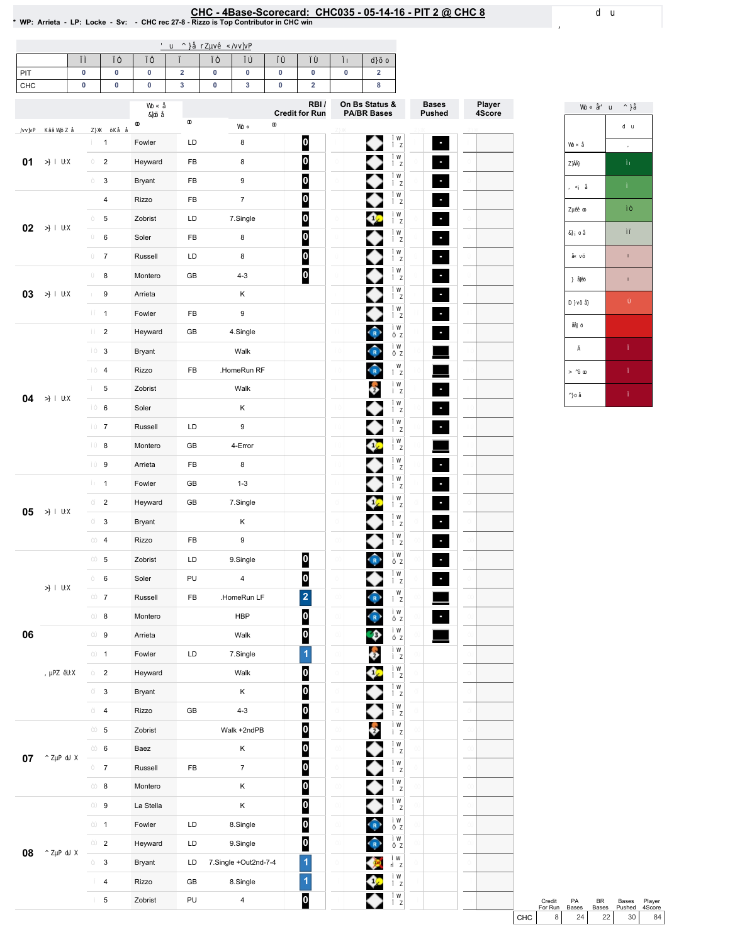## EHC-4Base-Scorecard: CHC035 - 05-14-16 - PIT 2 @ CHC 8<br>\* WP: Arrieta - LP: Locke - Sv: - CHC rec 27-8 - Rizzo is Top Contributor in CHC win

| PIT    | 0 | 0                       | 0         | $\overline{\mathbf{2}}$ | $\pmb{0}$            | 0                       | $\pmb{0}$ | $\pmb{0}$               | 0 | $\overline{\mathbf{2}}$              |                |                  |
|--------|---|-------------------------|-----------|-------------------------|----------------------|-------------------------|-----------|-------------------------|---|--------------------------------------|----------------|------------------|
| CHC    | 0 | 0                       | 0         | 3                       | $\pmb{0}$            | 3                       | $\pmb{0}$ | $\mathbf 2$<br>RBI/     |   | 8                                    | <b>Bases</b>   |                  |
|        |   |                         |           |                         |                      |                         |           | <b>Credit for Run</b>   |   | On Bs Status &<br><b>PA/BR Bases</b> | <b>Pushed</b>  | Player<br>4Score |
|        |   | $\mathbf{1}$            | Fowler    | LD                      |                      | 8                       |           | $\boldsymbol{0}$        |   | ◆                                    | ٠              |                  |
| 01     |   | $\overline{2}$          | Heyward   | FB                      |                      | 8                       |           | $\overline{\mathbf{0}}$ |   |                                      | ٠              |                  |
|        |   | 3                       | Bryant    | FB                      |                      | 9                       |           | 0                       |   |                                      | ۹              |                  |
|        |   | $\overline{\mathbf{4}}$ | Rizzo     | FB                      |                      | $\overline{7}$          |           | 0                       |   |                                      | ÷.             |                  |
|        |   | 5                       | Zobrist   | LD                      |                      | 7.Single                |           | 0                       |   | 02                                   | ÷,             |                  |
| 02     |   | 6                       | Soler     | FB                      |                      | 8                       |           | $\bf{0}$                |   |                                      | ٠              |                  |
|        |   | $\overline{7}$          | Russell   | LD                      |                      | 8                       |           | $\overline{\mathbf{0}}$ |   |                                      | $\sigma$       |                  |
|        |   | 8                       | Montero   | GB                      |                      | $4 - 3$                 |           | $\overline{\mathbf{0}}$ |   |                                      | ÷,             |                  |
| 03     |   | 9                       | Arrieta   |                         |                      | Κ                       |           |                         |   |                                      | ٠              |                  |
|        |   | $\mathbf{1}$            | Fowler    | FB                      |                      | 9                       |           |                         |   |                                      | $\mathbf{e}_i$ |                  |
|        |   | $\overline{2}$          | Heyward   | GB                      |                      | 4.Single                |           |                         |   |                                      | ÷              |                  |
|        |   | $\mathbf{3}$            | Bryant    |                         |                      | Walk                    |           |                         |   | $\hat{\mathbf{R}}$                   |                |                  |
|        |   | $\overline{4}$          | Rizzo     | FB                      |                      | HomeRun RF              |           |                         |   | $\bigcirc$                           |                |                  |
|        |   | 5                       | Zobrist   |                         |                      | Walk                    |           |                         |   | ô                                    | ٠              |                  |
| 04     |   | 6                       | Soler     |                         |                      | Κ                       |           |                         |   |                                      | ł,             |                  |
|        |   | $\overline{7}$          | Russell   | LD                      |                      | 9                       |           |                         |   |                                      | ÷,             |                  |
|        |   | 8                       | Montero   | GB                      |                      | 4-Error                 |           |                         |   | 02                                   |                |                  |
|        |   | $\mathsf g$             | Arrieta   | FB                      |                      | 8                       |           |                         |   |                                      | $\mathbf{e}_i$ |                  |
|        |   | $\mathbf{1}$            | Fowler    | GB                      |                      | $1 - 3$                 |           |                         |   |                                      | ÷.             |                  |
| 05     |   | $\overline{2}$          | Heyward   | GB                      |                      | 7.Single                |           |                         |   | 0.                                   | ۹              |                  |
|        |   | $\mathbf{3}$            | Bryant    |                         |                      | Κ                       |           |                         |   |                                      | ÷,             |                  |
|        |   | $\overline{4}$          | Rizzo     | FB                      |                      | 9                       |           |                         |   |                                      | ٠              |                  |
|        |   | 5                       | Zobrist   | LD                      |                      | 9.Single                |           | 0                       |   |                                      | ۹              |                  |
|        |   | 6                       | Soler     | PU                      |                      | $\pmb{4}$               |           | $\overline{\mathbf{0}}$ |   |                                      | ٠              |                  |
|        |   | $\boldsymbol{7}$        | Russell   | ${\sf FB}$              |                      | .HomeRun LF             |           | $\overline{\mathbf{c}}$ |   | $\widehat{R}$                        |                |                  |
|        |   | 8                       | Montero   |                         |                      | <b>HBP</b>              |           | 0                       |   | $\hat{P}$                            |                |                  |
| 06     |   | $\boldsymbol{9}$        | Arrieta   |                         |                      | Walk                    |           | $\overline{\mathbf{0}}$ |   | $\bullet$                            |                |                  |
|        |   | $\mathbf{1}$            | Fowler    | LD                      |                      | 7.Single                |           | $\overline{1}$          |   | ê                                    |                |                  |
|        |   | $\overline{2}$          | Heyward   |                         |                      | Walk                    |           | $\overline{\mathbf{0}}$ |   | ⇔                                    |                |                  |
|        |   | $\mathbf{3}$            | Bryant    |                         |                      | Κ                       |           | $\overline{\mathbf{0}}$ |   | ◆                                    |                |                  |
|        |   | $\pmb{4}$               | Rizzo     | GB                      |                      | $4 - 3$                 |           | $\bullet$               |   | ◆                                    |                |                  |
|        |   | $\,$ 5 $\,$             | Zobrist   |                         |                      | Walk +2ndPB             |           | $\overline{\mathbf{0}}$ |   | Ô                                    |                |                  |
| $07\,$ |   | $\mathbf 6$             | Baez      |                         |                      | Κ                       |           | $\overline{\mathbf{0}}$ |   | ◆                                    |                |                  |
|        |   | $\overline{7}$          | Russell   | ${\sf FB}$              |                      | $\overline{7}$          |           | $\overline{\mathbf{0}}$ |   | ◆                                    |                |                  |
|        |   | $\bf8$                  | Montero   |                         |                      | Κ                       |           | $\overline{\mathbf{0}}$ |   | ◆                                    |                |                  |
|        |   | $\mathsf g$             | La Stella |                         |                      | Κ                       |           | $\overline{\mathbf{0}}$ |   | ◆                                    |                |                  |
|        |   | $\mathbf{1}$            | Fowler    | LD                      |                      | 8.Single                |           | $\overline{\mathbf{0}}$ |   | $\bigcirc$                           |                |                  |
| 08     |   | $\mathbf 2$             | Heyward   | LD                      |                      | 9.Single                |           | $\overline{\mathbf{0}}$ |   | $\bigcirc$                           |                |                  |
|        |   | $\mathbf{3}$            | Bryant    | LD                      | 7.Single +Out2nd-7-4 |                         |           | 1                       |   | Ø                                    |                |                  |
|        |   | $\overline{\mathbf{4}}$ | Rizzo     | GB                      |                      | 8.Single                |           | 1                       |   | ♦                                    |                |                  |
|        |   | $\,$ 5 $\,$             | Zobrist   | PU                      |                      | $\overline{\mathbf{4}}$ |           | 0                       |   | ◆                                    |                |                  |



Credit PA BR Bases Player<br>
For Run Bases Bases Pushed 4Score<br>
CHC 8 24 22 30 84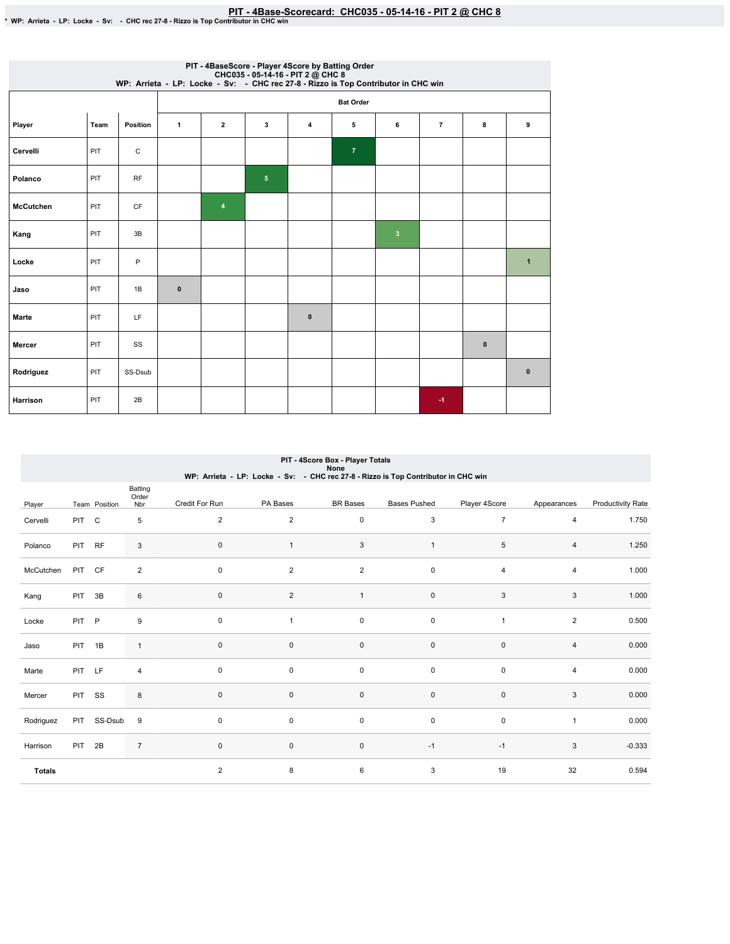|                  |      |             |              |                         |                | PIT - 4BaseScore - Player 4Score by Batting Order<br>WP: Arrieta - LP: Locke - Sv: - CHC035 - 05-14-16 - PIT 2 @ CHC 8<br>WP: Arrieta - LP: Locke - Sv: - CHC rec 27-8 - Rizzo is Top Contributor in CHC win |                  |              |                |           |              |
|------------------|------|-------------|--------------|-------------------------|----------------|--------------------------------------------------------------------------------------------------------------------------------------------------------------------------------------------------------------|------------------|--------------|----------------|-----------|--------------|
|                  |      |             |              |                         |                |                                                                                                                                                                                                              | <b>Bat Order</b> |              |                |           |              |
| Player           | Team | Position    | $\mathbf{1}$ | $\overline{\mathbf{2}}$ | 3              | 4                                                                                                                                                                                                            | 5                | 6            | $\overline{7}$ | 8         | 9            |
| Cervelli         | PIT  | $\mathsf C$ |              |                         |                |                                                                                                                                                                                                              | $\overline{7}$   |              |                |           |              |
| Polanco          | PIT  | <b>RF</b>   |              |                         | 5 <sub>5</sub> |                                                                                                                                                                                                              |                  |              |                |           |              |
| <b>McCutchen</b> | PIT  | <b>CF</b>   |              | $\overline{4}$          |                |                                                                                                                                                                                                              |                  |              |                |           |              |
| Kang             | PIT  | 3B          |              |                         |                |                                                                                                                                                                                                              |                  | $\mathbf{3}$ |                |           |              |
| Locke            | PIT  | P           |              |                         |                |                                                                                                                                                                                                              |                  |              |                |           | $\mathbf{1}$ |
| Jaso             | PIT  | 1B          | $\mathbf{0}$ |                         |                |                                                                                                                                                                                                              |                  |              |                |           |              |
| Marte            | PIT  | LF          |              |                         |                | $\bf{0}$                                                                                                                                                                                                     |                  |              |                |           |              |
| Mercer           | PIT  | SS          |              |                         |                |                                                                                                                                                                                                              |                  |              |                | $\pmb{0}$ |              |
| Rodriguez        | PIT  | SS-Dsub     |              |                         |                |                                                                                                                                                                                                              |                  |              |                |           | $\bf{0}$     |
| <b>Harrison</b>  | PIT  | 2B          |              |                         |                |                                                                                                                                                                                                              |                  |              | $-1$           |           |              |

|               |            |               |                         |                     |                | PIT - 4Score Box - Player Totals<br>None                                                              |                     |                |                |                          |
|---------------|------------|---------------|-------------------------|---------------------|----------------|-------------------------------------------------------------------------------------------------------|---------------------|----------------|----------------|--------------------------|
| Player        |            | Team Position | Batting<br>Order<br>Nbr | Credit For Run      | PA Bases       | WP: Arrieta - LP: Locke - Sv: - CHC rec 27-8 - Rizzo is Top Contributor in CHC win<br><b>BR</b> Bases | <b>Bases Pushed</b> | Player 4Score  | Appearances    | <b>Productivity Rate</b> |
| Cervelli      | PIT C      |               | 5                       | 2                   | $\overline{c}$ | $\mathsf 0$                                                                                           | 3                   | $\overline{7}$ | 4              | 1.750                    |
| Polanco       | PIT RF     |               | 3                       | $\mathsf{O}\xspace$ | $\mathbf{1}$   | 3                                                                                                     | $\mathbf{1}$        | 5              | 4              | 1.250                    |
| McCutchen     | PIT        | <b>CF</b>     | $\overline{c}$          | $\mathbf 0$         | $\overline{2}$ | $\boldsymbol{2}$                                                                                      | 0                   | $\overline{4}$ | $\overline{4}$ | 1.000                    |
| Kang          | PIT        | 3B            | 6                       | $\mathsf{O}\xspace$ | $\overline{2}$ | $\mathbf{1}$                                                                                          | $\pmb{0}$           | 3              | 3              | 1.000                    |
| Locke         | <b>PIT</b> | $\mathsf{P}$  | 9                       | $\mathbf 0$         | $\mathbf{1}$   | $\mathsf 0$                                                                                           | 0                   | $\overline{1}$ | $\overline{2}$ | 0.500                    |
| Jaso          | PIT 1B     |               | $\mathbf{1}$            | $\mathsf{O}\xspace$ | $\mathsf 0$    | $\mathsf 0$                                                                                           | $\pmb{0}$           | $\pmb{0}$      | $\overline{4}$ | 0.000                    |
| Marte         | PIT        | LF            | $\overline{4}$          | $\mathsf 0$         | 0              | $\mathsf 0$                                                                                           | 0                   | $\pmb{0}$      | $\overline{4}$ | 0.000                    |
| Mercer        | <b>PIT</b> | SS            | 8                       | $\mathbf 0$         | $\mathbf 0$    | $\mathsf 0$                                                                                           | $\pmb{0}$           | $\mathbf 0$    | 3              | 0.000                    |
| Rodriguez     | <b>PIT</b> | SS-Dsub       | 9                       | $\mathbf 0$         | 0              | 0                                                                                                     | $\pmb{0}$           | $\mathbf 0$    | $\mathbf{1}$   | 0.000                    |
| Harrison      | <b>PIT</b> | 2B            | $\overline{7}$          | $\mathsf{O}\xspace$ | $\mathsf 0$    | $\mathsf 0$                                                                                           | $-1$                | $-1$           | 3              | $-0.333$                 |
| <b>Totals</b> |            |               |                         | 2                   | 8              | 6                                                                                                     | 3                   | 19             | 32             | 0.594                    |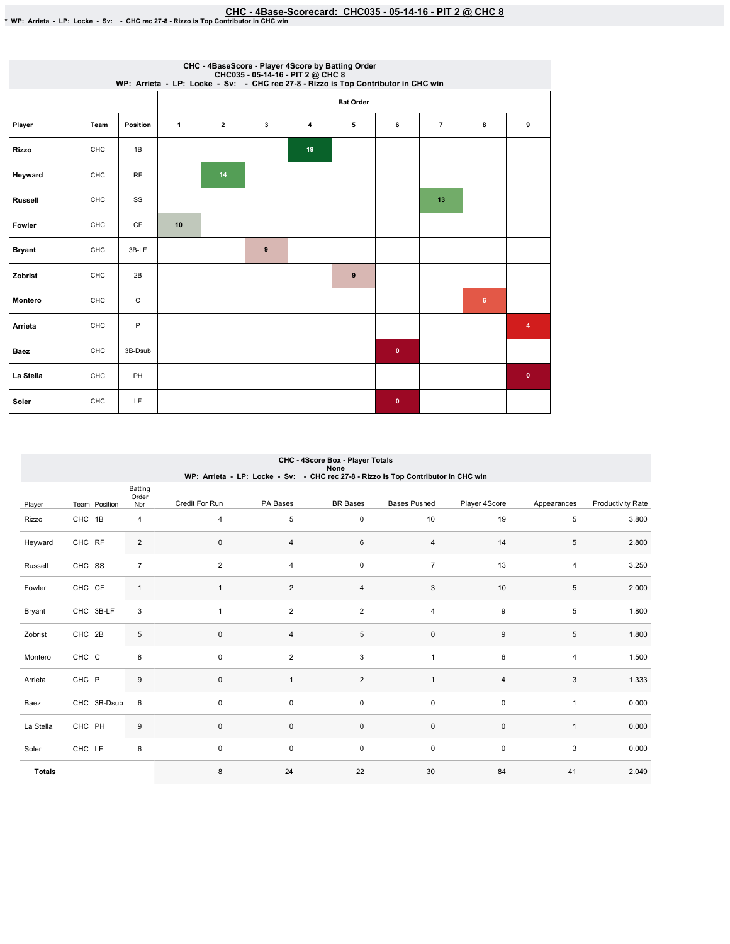|                |      |              |              |              |   | CHC - 4BaseScore - Player 4Score by Batting Order<br>CHC035 - 05-14-16 - PIT 2 @ CHC 8<br>WP: Arrieta - LP: Locke - Sv: - CHC rec 27-8 - Rizzo is Top Contributor in CHC win |                  |           |                |                |             |
|----------------|------|--------------|--------------|--------------|---|------------------------------------------------------------------------------------------------------------------------------------------------------------------------------|------------------|-----------|----------------|----------------|-------------|
|                |      |              |              |              |   |                                                                                                                                                                              | <b>Bat Order</b> |           |                |                |             |
| Player         | Team | Position     | $\mathbf{1}$ | $\mathbf{2}$ | 3 | 4                                                                                                                                                                            | 5                | 6         | $\overline{7}$ | 8              | 9           |
| <b>Rizzo</b>   | CHC  | 1B           |              |              |   | 19                                                                                                                                                                           |                  |           |                |                |             |
| Heyward        | CHC  | <b>RF</b>    |              | 14           |   |                                                                                                                                                                              |                  |           |                |                |             |
| <b>Russell</b> | CHC  | SS           |              |              |   |                                                                                                                                                                              |                  |           | 13             |                |             |
| Fowler         | CHC  | <b>CF</b>    | 10           |              |   |                                                                                                                                                                              |                  |           |                |                |             |
| <b>Bryant</b>  | CHC  | 3B-LF        |              |              | 9 |                                                                                                                                                                              |                  |           |                |                |             |
| Zobrist        | CHC  | 2B           |              |              |   |                                                                                                                                                                              | $\pmb{9}$        |           |                |                |             |
| Montero        | CHC  | $\mathtt{C}$ |              |              |   |                                                                                                                                                                              |                  |           |                | $6\phantom{a}$ |             |
| Arrieta        | CHC  | P            |              |              |   |                                                                                                                                                                              |                  |           |                |                | 4           |
| <b>Baez</b>    | CHC  | 3B-Dsub      |              |              |   |                                                                                                                                                                              |                  | $\bullet$ |                |                |             |
| La Stella      | CHC  | PH           |              |              |   |                                                                                                                                                                              |                  |           |                |                | $\mathbf 0$ |
| Soler          | CHC  | LF           |              |              |   |                                                                                                                                                                              |                  | $\bullet$ |                |                |             |

|               |               |                |                |                | CHC 45 core Box - Player Totals<br>None |                                                                                    |                |              |                          |
|---------------|---------------|----------------|----------------|----------------|-----------------------------------------|------------------------------------------------------------------------------------|----------------|--------------|--------------------------|
|               |               | Batting        |                |                |                                         | WP: Arrieta - LP: Locke - Sv: - CHC rec 27-8 - Rizzo is Top Contributor in CHC win |                |              |                          |
| Player        | Team Position | Order<br>Nbr   | Credit For Run | PA Bases       | <b>BR</b> Bases                         | <b>Bases Pushed</b>                                                                | Player 4Score  | Appearances  | <b>Productivity Rate</b> |
| Rizzo         | CHC 1B        | $\overline{4}$ | $\overline{4}$ | 5              | $\mathsf{O}\xspace$                     | 10                                                                                 | 19             | 5            | 3.800                    |
| Heyward       | CHC RF        | $\overline{2}$ | $\pmb{0}$      | 4              | 6                                       | $\overline{4}$                                                                     | 14             | 5            | 2.800                    |
| Russell       | CHC SS        | $\overline{7}$ | 2              | $\overline{4}$ | $\mathsf{O}\xspace$                     | $\overline{7}$                                                                     | 13             | 4            | 3.250                    |
| Fowler        | CHC CF        | $\mathbf{1}$   | $\mathbf{1}$   | $\overline{c}$ | 4                                       | $\mathbf{3}$                                                                       | $10$           | 5            | 2.000                    |
| Bryant        | CHC 3B-LF     | 3              | 1              | $\overline{2}$ | $\overline{2}$                          | $\overline{4}$                                                                     | 9              | 5            | 1.800                    |
| Zobrist       | CHC 2B        | 5              | $\mathbf 0$    | 4              | $\,$ 5 $\,$                             | $\mathsf{O}\xspace$                                                                | 9              | 5            | 1.800                    |
| Montero       | CHC C         | 8              | $\mathbf 0$    | $\overline{c}$ | 3                                       | $\overline{1}$                                                                     | 6              | 4            | 1.500                    |
| Arrieta       | CHC P         | 9              | $\mathbf 0$    | $\mathbf{1}$   | $\overline{2}$                          | $\mathbf{1}$                                                                       | $\overline{4}$ | 3            | 1.333                    |
| Baez          | CHC 3B-Dsub   | 6              | $\mathbf 0$    | 0              | $\mathsf{O}\xspace$                     | $\mathsf 0$                                                                        | $\mathsf 0$    | $\mathbf{1}$ | 0.000                    |
| La Stella     | CHC PH        | 9              | $\mathbf{0}$   | 0              | 0                                       | 0                                                                                  | $\mathbf 0$    | $\mathbf{1}$ | 0.000                    |
| Soler         | CHC LF        | 6              | $\mathbf 0$    | 0              | $\mathsf{O}\xspace$                     | $\mathsf 0$                                                                        | $\mathsf 0$    | 3            | 0.000                    |
| <b>Totals</b> |               |                | 8              | 24             | 22                                      | 30                                                                                 | 84             | 41           | 2.049                    |

CHC-4ScoreBox-PlayerTotals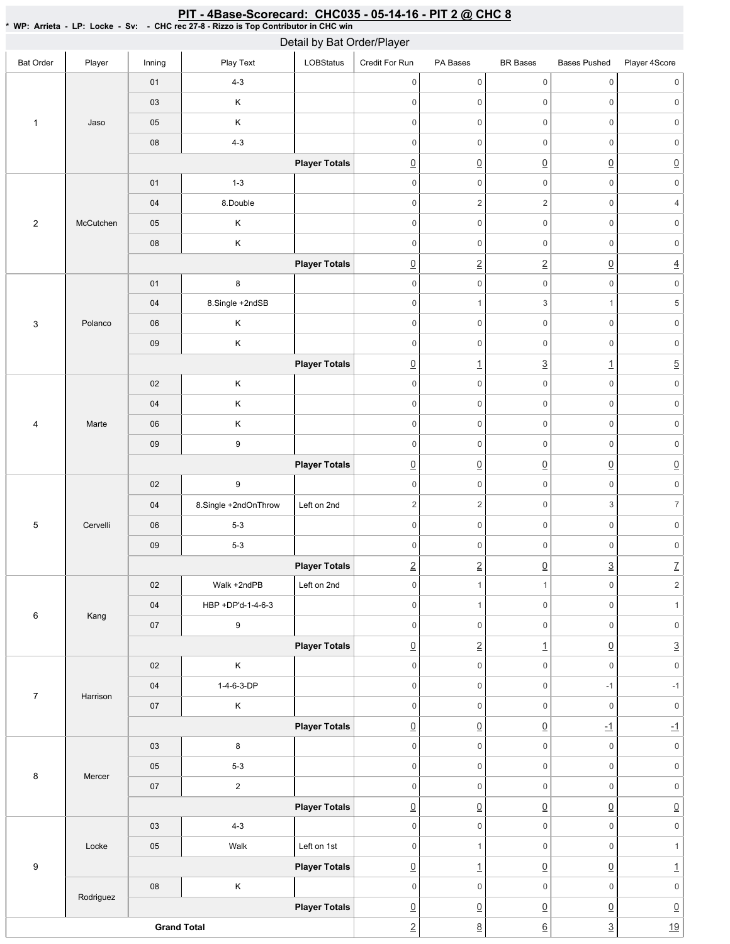| $\cdots$ $\cdots$         |           |                    | ono ice zi -o - itazzo is Top continuator in ono will | Detail by Bat Order/Player |                     |                          |                     |                          |                           |
|---------------------------|-----------|--------------------|-------------------------------------------------------|----------------------------|---------------------|--------------------------|---------------------|--------------------------|---------------------------|
| <b>Bat Order</b>          | Player    | Inning             | Play Text                                             | <b>LOBStatus</b>           | Credit For Run      | PA Bases                 | <b>BR</b> Bases     | <b>Bases Pushed</b>      | Player 4Score             |
|                           |           | 01                 | $4 - 3$                                               |                            | $\overline{0}$      | $\mathsf{O}\xspace$      | $\mathsf 0$         | $\mathsf{O}\xspace$      | $\mathbf 0$               |
|                           |           | 03                 | $\mathsf K$                                           |                            | $\mathbb O$         | $\mathsf{O}\xspace$      | $\mathsf{O}\xspace$ | $\mathsf{O}\xspace$      | $\mathsf{O}\xspace$       |
| $\mathbf{1}$              | Jaso      | $05\,$             | $\sf K$                                               |                            | $\mathsf{O}\xspace$ | $\mathsf{O}\xspace$      | $\mathsf 0$         | $\mathsf{O}\xspace$      | $\mathbf 0$               |
|                           |           | ${\bf 08}$         | $4 - 3$                                               |                            | $\overline{0}$      | $\mathsf{O}\xspace$      | $\mathsf{O}\xspace$ | $\mathsf{O}\xspace$      | $\mathsf{O}\xspace$       |
|                           |           |                    |                                                       | <b>Player Totals</b>       | $\underline{0}$     | $\underline{0}$          | $\underline{0}$     | $\underline{0}$          | $\underline{0}$           |
|                           |           | $01$               | $1 - 3$                                               |                            | $\mathbb O$         | $\mathsf{O}\xspace$      | $\mathsf{O}\xspace$ | $\mathsf{O}\xspace$      | $\mathsf{O}\xspace$       |
|                           |           | $04\,$             | 8.Double                                              |                            | $\mathsf{O}\xspace$ | $\sqrt{2}$               | $\sqrt{2}$          | $\mathsf{O}\xspace$      | $\overline{4}$            |
| $\sqrt{2}$                | McCutchen | 05                 | Κ                                                     |                            | $\mathbf 0$         | $\mathsf{O}\xspace$      | $\mathsf 0$         | $\mathsf{O}\xspace$      | $\mathbf 0$               |
|                           |           | ${\bf 08}$         | $\mathsf K$                                           |                            | $\mathsf 0$         | $\mathsf{O}\xspace$      | $\mathsf{O}\xspace$ | $\mathsf{O}\xspace$      | $\mathsf{O}\xspace$       |
|                           |           |                    |                                                       | <b>Player Totals</b>       | $\underline{0}$     | $\underline{2}$          | $\underline{2}$     | $\underline{0}$          | $\underline{4}$           |
|                           |           | 01                 | $\bf8$                                                |                            | $\mathbf 0$         | $\mathsf{O}\xspace$      | $\mathbf 0$         | $\mathsf{O}\xspace$      | $\mathsf{O}\xspace$       |
|                           |           | $04\,$             | 8.Single +2ndSB                                       |                            | $\mathsf{O}\xspace$ | $\mathbf{1}$             | 3                   | $\mathbf{1}$             | $\,$ 5 $\,$               |
| $\ensuremath{\mathsf{3}}$ | Polanco   | $06\,$             | $\sf K$                                               |                            | $\mathbf 0$         | $\mathsf{O}\xspace$      | $\mathbf 0$         | $\mathsf{O}\xspace$      | $\mathbf 0$               |
|                           |           | 09                 | $\mathsf K$                                           |                            | $\mathbb O$         | $\mathsf{O}\xspace$      | $\mathsf{O}\xspace$ | $\mathsf{O}\xspace$      | $\mathsf{0}$              |
|                           |           |                    |                                                       | <b>Player Totals</b>       | $\underline{0}$     | $\overline{1}$           | $\overline{3}$      | $\underline{\mathbf{1}}$ | $\overline{5}$            |
|                           |           | $02\,$             | $\sf K$                                               |                            | $\mathsf 0$         | $\mathsf{O}\xspace$      | $\mathbf 0$         | $\mathsf{O}\xspace$      | $\mathsf{O}\xspace$       |
|                           |           | $04\,$             | $\mathsf K$                                           |                            | $\mathbf 0$         | $\mathsf 0$              | $\mathsf{O}\xspace$ | $\mathsf{O}\xspace$      | $\mathsf{O}\xspace$       |
| $\overline{\mathbf{4}}$   | Marte     | ${\bf 06}$         | $\mathsf K$                                           |                            | $\mathbb O$         | $\mathsf{O}\xspace$      | $\mathbf 0$         | $\mathsf{O}\xspace$      | $\mathsf{O}\xspace$       |
|                           |           | $09\,$             | $\boldsymbol{9}$                                      |                            | $\overline{0}$      | $\mathsf{O}\xspace$      | $\mathsf{O}\xspace$ | $\mathsf{O}\xspace$      | $\mathsf{O}\xspace$       |
|                           |           |                    |                                                       | <b>Player Totals</b>       | $\underline{0}$     | $\underline{0}$          | $\overline{0}$      | $\underline{0}$          | $\underline{0}$           |
|                           |           | $02\,$             | $\boldsymbol{9}$                                      |                            | $\mathbb O$         | $\mathsf{O}\xspace$      | $\mathsf 0$         | $\mathsf{O}\xspace$      | $\mathsf{O}\xspace$       |
|                           |           | 04                 | 8.Single +2ndOnThrow                                  | Left on 2nd                | 2                   | $\sqrt{2}$               | $\mathsf 0$         | 3                        | $\overline{7}$            |
| $\,$ 5 $\,$               | Cervelli  | 06                 | $5 - 3$                                               |                            | $\mathsf{O}\xspace$ | $\mathsf 0$              | $\mathsf 0$         | $\mathbf 0$              | $\mathsf{O}\xspace$       |
|                           |           | $09\,$             | $5 - 3$                                               |                            | $\mathsf{O}\xspace$ | $\mathsf{O}\xspace$      | $\mathsf 0$         | 0                        | $\mathbf 0$               |
|                           |           |                    |                                                       | <b>Player Totals</b>       | $\vert$ 2           | $\overline{2}$           | $\overline{0}$      | $\overline{3}$           | $\overline{L}$            |
|                           |           | $02\,$             | Walk +2ndPB                                           | Left on 2nd                | $\mathsf{O}\xspace$ | $\mathbf{1}$             | $\mathbf{1}$        | $\mathsf{O}\xspace$      | $\mathbf 2$               |
| $\,6\,$                   | Kang      | 04                 | HBP +DP'd-1-4-6-3                                     |                            | $\mathsf{O}\xspace$ | $\mathbf{1}$             | $\mathsf 0$         | $\mathsf{O}\xspace$      | $\mathbf{1}$              |
|                           |           | $07\,$             | 9                                                     |                            | $\overline{0}$      | $\mathsf{O}\xspace$      | $\mathbf 0$         | $\mathsf{O}\xspace$      | $\mathsf{O}\xspace$       |
|                           |           |                    |                                                       | <b>Player Totals</b>       | $\underline{0}$     | $\underline{2}$          | $\overline{1}$      | $\underline{0}$          | $\underline{3}$           |
|                           |           | 02                 | $\sf K$                                               |                            | $\overline{0}$      | $\mathsf{O}\xspace$      | $\mathsf 0$         | $\mathsf{O}\xspace$      | $\mathsf{O}\xspace$       |
| $\boldsymbol{7}$          | Harrison  | 04                 | 1-4-6-3-DP                                            |                            | $\overline{0}$      | $\mathsf{O}\xspace$      | $\mathsf{O}\xspace$ | $-1$                     | $-1$                      |
|                           |           | $07\,$             | $\sf K$                                               |                            | $\mathsf{O}\xspace$ | $\mathsf{O}\xspace$      | $\mathsf 0$         | $\mathsf 0$              | $\mathsf{O}\xspace$       |
|                           |           |                    |                                                       | <b>Player Totals</b>       | $\underline{0}$     | $\underline{0}$          | $\underline{0}$     | $-1$                     | $\underline{\textbf{-1}}$ |
|                           |           | 03                 | 8                                                     |                            | $\mathbf 0$         | $\mathsf{O}\xspace$      | $\mathbf 0$         | $\mathsf{O}\xspace$      | $\mathsf{O}\xspace$       |
| 8                         | Mercer    | $05\,$             | $5 - 3$                                               |                            | $\mathsf{O}\xspace$ | $\mathsf{O}\xspace$      | $\mathbf 0$         | $\mathsf{O}\xspace$      | $\mathsf{O}\xspace$       |
|                           |           | $07\,$             | $\overline{2}$                                        |                            | $\overline{0}$      | $\mathsf{O}\xspace$      | $\mathsf{O}\xspace$ | $\mathsf{O}\xspace$      | $\mathsf{0}$              |
|                           |           |                    |                                                       | <b>Player Totals</b>       | $\underline{0}$     | $\underline{0}$          | $\underline{0}$     | $\underline{0}$          | $\underline{0}$           |
|                           |           | $03\,$             | $4 - 3$                                               |                            | $\mathbf 0$         | $\mathsf{O}\xspace$      | $\mathsf{O}\xspace$ | $\mathsf{O}\xspace$      | $\mathsf{O}\xspace$       |
|                           | Locke     | $05\,$             | Walk                                                  | Left on 1st                | $\mathsf{O}\xspace$ | $\mathbf{1}$             | $\mathsf{O}\xspace$ | $\mathsf{O}\xspace$      | $\mathbf{1}$              |
| 9                         |           |                    |                                                       | <b>Player Totals</b>       | $\underline{0}$     | $\underline{\mathbf{1}}$ | $\underline{0}$     | $\underline{0}$          | $\overline{1}$            |
|                           | Rodriguez | ${\bf 08}$         | $\mathsf K$                                           |                            | $\overline{0}$      | $\mathsf{O}\xspace$      | $\mathsf 0$         | $\mathsf{O}\xspace$      | $\mathsf{O}\xspace$       |
|                           |           |                    |                                                       | <b>Player Totals</b>       | $\underline{0}$     | $\underline{0}$          | $\overline{0}$      | $\underline{0}$          | $\underline{0}$           |
|                           |           | <b>Grand Total</b> |                                                       |                            | $\underline{2}$     | $\underline{8}$          | $\underline{6}$     | $\underline{3}$          | 19                        |

## <u>PIT - 4Base-Scorecard: CHC035 - 05-14-16 - PIT 2 @ CHC 8</u>

\* WP: Arrieta-LP: Locke-Sv: -CHC rec 27-8 - Rizzo is Top Contributor in CHC win